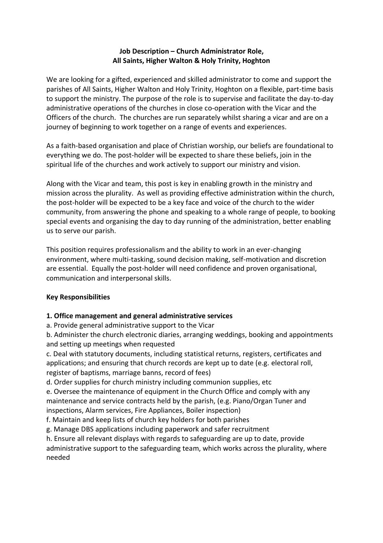## **Job Description – Church Administrator Role, All Saints, Higher Walton & Holy Trinity, Hoghton**

We are looking for a gifted, experienced and skilled administrator to come and support the parishes of All Saints, Higher Walton and Holy Trinity, Hoghton on a flexible, part-time basis to support the ministry. The purpose of the role is to supervise and facilitate the day-to-day administrative operations of the churches in close co-operation with the Vicar and the Officers of the church. The churches are run separately whilst sharing a vicar and are on a journey of beginning to work together on a range of events and experiences.

As a faith-based organisation and place of Christian worship, our beliefs are foundational to everything we do. The post-holder will be expected to share these beliefs, join in the spiritual life of the churches and work actively to support our ministry and vision.

Along with the Vicar and team, this post is key in enabling growth in the ministry and mission across the plurality. As well as providing effective administration within the church, the post-holder will be expected to be a key face and voice of the church to the wider community, from answering the phone and speaking to a whole range of people, to booking special events and organising the day to day running of the administration, better enabling us to serve our parish.

This position requires professionalism and the ability to work in an ever-changing environment, where multi-tasking, sound decision making, self-motivation and discretion are essential. Equally the post-holder will need confidence and proven organisational, communication and interpersonal skills.

## **Key Responsibilities**

## **1. Office management and general administrative services**

a. Provide general administrative support to the Vicar

b. Administer the church electronic diaries, arranging weddings, booking and appointments and setting up meetings when requested

c. Deal with statutory documents, including statistical returns, registers, certificates and applications; and ensuring that church records are kept up to date (e.g. electoral roll, register of baptisms, marriage banns, record of fees)

d. Order supplies for church ministry including communion supplies, etc

e. Oversee the maintenance of equipment in the Church Office and comply with any maintenance and service contracts held by the parish, (e.g. Piano/Organ Tuner and inspections, Alarm services, Fire Appliances, Boiler inspection)

f. Maintain and keep lists of church key holders for both parishes

g. Manage DBS applications including paperwork and safer recruitment

h. Ensure all relevant displays with regards to safeguarding are up to date, provide administrative support to the safeguarding team, which works across the plurality, where needed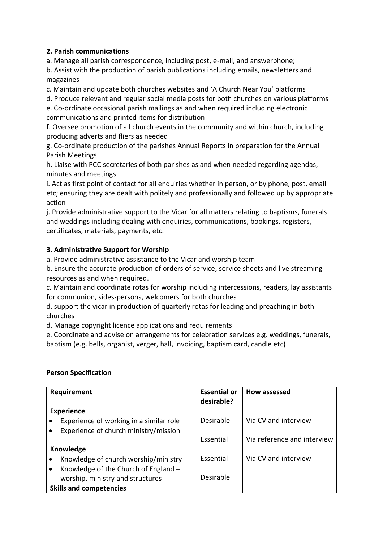# **2. Parish communications**

a. Manage all parish correspondence, including post, e-mail, and answerphone;

b. Assist with the production of parish publications including emails, newsletters and magazines

c. Maintain and update both churches websites and 'A Church Near You' platforms

d. Produce relevant and regular social media posts for both churches on various platforms

e. Co-ordinate occasional parish mailings as and when required including electronic communications and printed items for distribution

f. Oversee promotion of all church events in the community and within church, including producing adverts and fliers as needed

g. Co-ordinate production of the parishes Annual Reports in preparation for the Annual Parish Meetings

h. Liaise with PCC secretaries of both parishes as and when needed regarding agendas, minutes and meetings

i. Act as first point of contact for all enquiries whether in person, or by phone, post, email etc; ensuring they are dealt with politely and professionally and followed up by appropriate action

j. Provide administrative support to the Vicar for all matters relating to baptisms, funerals and weddings including dealing with enquiries, communications, bookings, registers, certificates, materials, payments, etc.

## **3. Administrative Support for Worship**

a. Provide administrative assistance to the Vicar and worship team

b. Ensure the accurate production of orders of service, service sheets and live streaming resources as and when required.

c. Maintain and coordinate rotas for worship including intercessions, readers, lay assistants for communion, sides-persons, welcomers for both churches

d. support the vicar in production of quarterly rotas for leading and preaching in both churches

d. Manage copyright licence applications and requirements

e. Coordinate and advise on arrangements for celebration services e.g. weddings, funerals, baptism (e.g. bells, organist, verger, hall, invoicing, baptism card, candle etc)

## **Person Specification**

| Requirement                    |                                         | <b>Essential or</b> | How assessed                |
|--------------------------------|-----------------------------------------|---------------------|-----------------------------|
|                                |                                         | desirable?          |                             |
| <b>Experience</b>              |                                         |                     |                             |
|                                | Experience of working in a similar role | Desirable           | Via CV and interview        |
|                                | Experience of church ministry/mission   |                     |                             |
|                                |                                         | Essential           | Via reference and interview |
| Knowledge                      |                                         |                     |                             |
|                                | Knowledge of church worship/ministry    | Essential           | Via CV and interview        |
|                                | Knowledge of the Church of England -    |                     |                             |
|                                | worship, ministry and structures        | Desirable           |                             |
| <b>Skills and competencies</b> |                                         |                     |                             |